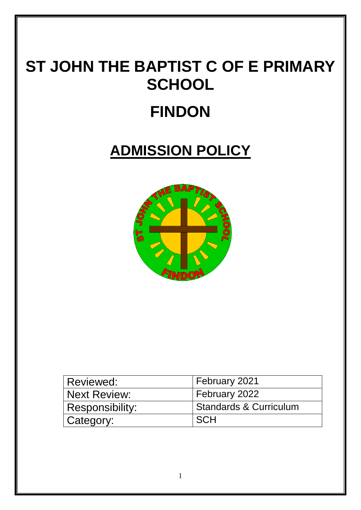# **ST JOHN THE BAPTIST C OF E PRIMARY SCHOOL**

## **FINDON**

### **ADMISSION POLICY**



| Reviewed:       | February 2021                     |
|-----------------|-----------------------------------|
| Next Review:    | February 2022                     |
| Responsibility: | <b>Standards &amp; Curriculum</b> |
| Category:       | <b>SCH</b>                        |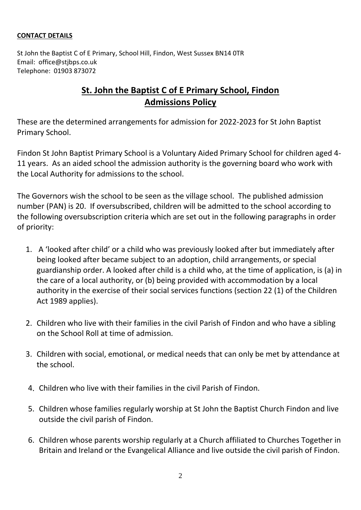#### **CONTACT DETAILS**

St John the Baptist C of E Primary, School Hill, Findon, West Sussex BN14 0TR Email: office@stjbps.co.uk Telephone: 01903 873072

#### **St. John the Baptist C of E Primary School, Findon Admissions Policy**

These are the determined arrangements for admission for 2022-2023 for St John Baptist Primary School.

Findon St John Baptist Primary School is a Voluntary Aided Primary School for children aged 4- 11 years. As an aided school the admission authority is the governing board who work with the Local Authority for admissions to the school.

The Governors wish the school to be seen as the village school. The published admission number (PAN) is 20. If oversubscribed, children will be admitted to the school according to the following oversubscription criteria which are set out in the following paragraphs in order of priority:

- 1. A 'looked after child' or a child who was previously looked after but immediately after being looked after became subject to an adoption, child arrangements, or special guardianship order. A looked after child is a child who, at the time of application, is (a) in the care of a local authority, or (b) being provided with accommodation by a local authority in the exercise of their social services functions (section 22 (1) of the Children Act 1989 applies).
- 2. Children who live with their families in the civil Parish of Findon and who have a sibling on the School Roll at time of admission.
- 3. Children with social, emotional, or medical needs that can only be met by attendance at the school.
- 4. Children who live with their families in the civil Parish of Findon.
- 5. Children whose families regularly worship at St John the Baptist Church Findon and live outside the civil parish of Findon.
- 6. Children whose parents worship regularly at a Church affiliated to Churches Together in Britain and Ireland or the Evangelical Alliance and live outside the civil parish of Findon.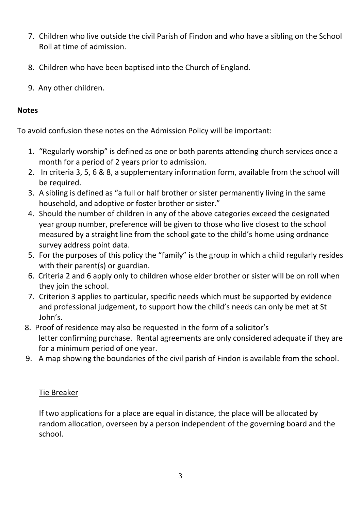- 7. Children who live outside the civil Parish of Findon and who have a sibling on the School Roll at time of admission.
- 8. Children who have been baptised into the Church of England.
- 9. Any other children.

#### **Notes**

To avoid confusion these notes on the Admission Policy will be important:

- 1. "Regularly worship" is defined as one or both parents attending church services once a month for a period of 2 years prior to admission.
- 2. In criteria 3, 5, 6 & 8, a supplementary information form, available from the school will be required.
- 3. A sibling is defined as "a full or half brother or sister permanently living in the same household, and adoptive or foster brother or sister."
- 4. Should the number of children in any of the above categories exceed the designated year group number, preference will be given to those who live closest to the school measured by a straight line from the school gate to the child's home using ordnance survey address point data.
- 5. For the purposes of this policy the "family" is the group in which a child regularly resides with their parent(s) or guardian.
- 6. Criteria 2 and 6 apply only to children whose elder brother or sister will be on roll when they join the school.
- 7. Criterion 3 applies to particular, specific needs which must be supported by evidence and professional judgement, to support how the child's needs can only be met at St John's.
- 8. Proof of residence may also be requested in the form of a solicitor's letter confirming purchase. Rental agreements are only considered adequate if they are for a minimum period of one year.
- 9. A map showing the boundaries of the civil parish of Findon is available from the school.

#### Tie Breaker

If two applications for a place are equal in distance, the place will be allocated by random allocation, overseen by a person independent of the governing board and the school.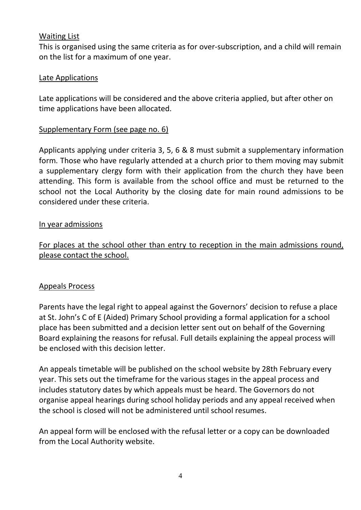#### Waiting List

This is organised using the same criteria as for over-subscription, and a child will remain on the list for a maximum of one year.

#### Late Applications

Late applications will be considered and the above criteria applied, but after other on time applications have been allocated.

#### Supplementary Form (see page no. 6)

Applicants applying under criteria 3, 5, 6 & 8 must submit a supplementary information form. Those who have regularly attended at a church prior to them moving may submit a supplementary clergy form with their application from the church they have been attending. This form is available from the school office and must be returned to the school not the Local Authority by the closing date for main round admissions to be considered under these criteria.

#### In year admissions

For places at the school other than entry to reception in the main admissions round, please contact the school.

#### Appeals Process

Parents have the legal right to appeal against the Governors' decision to refuse a place at St. John's C of E (Aided) Primary School providing a formal application for a school place has been submitted and a decision letter sent out on behalf of the Governing Board explaining the reasons for refusal. Full details explaining the appeal process will be enclosed with this decision letter.

An appeals timetable will be published on the school website by 28th February every year. This sets out the timeframe for the various stages in the appeal process and includes statutory dates by which appeals must be heard. The Governors do not organise appeal hearings during school holiday periods and any appeal received when the school is closed will not be administered until school resumes.

An appeal form will be enclosed with the refusal letter or a copy can be downloaded from the Local Authority website.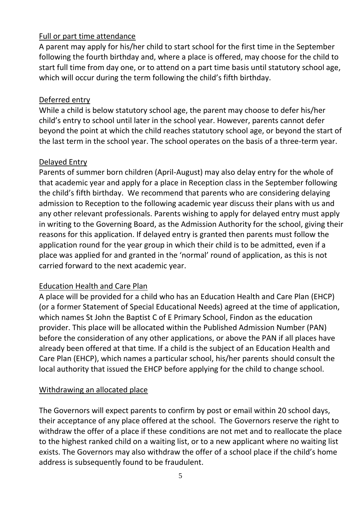#### Full or part time attendance

A parent may apply for his/her child to start school for the first time in the September following the fourth birthday and, where a place is offered, may choose for the child to start full time from day one, or to attend on a part time basis until statutory school age, which will occur during the term following the child's fifth birthday.

#### Deferred entry

While a child is below statutory school age, the parent may choose to defer his/her child's entry to school until later in the school year. However, parents cannot defer beyond the point at which the child reaches statutory school age, or beyond the start of the last term in the school year. The school operates on the basis of a three-term year.

#### Delayed Entry

Parents of summer born children (April-August) may also delay entry for the whole of that academic year and apply for a place in Reception class in the September following the child's fifth birthday. We recommend that parents who are considering delaying admission to Reception to the following academic year discuss their plans with us and any other relevant professionals. Parents wishing to apply for delayed entry must apply in writing to the Governing Board, as the Admission Authority for the school, giving their reasons for this application. If delayed entry is granted then parents must follow the application round for the year group in which their child is to be admitted, even if a place was applied for and granted in the 'normal' round of application, as this is not carried forward to the next academic year.

#### Education Health and Care Plan

A place will be provided for a child who has an Education Health and Care Plan (EHCP) (or a former Statement of Special Educational Needs) agreed at the time of application, which names St John the Baptist C of E Primary School, Findon as the education provider. This place will be allocated within the Published Admission Number (PAN) before the consideration of any other applications, or above the PAN if all places have already been offered at that time. If a child is the subject of an Education Health and Care Plan (EHCP), which names a particular school, his/her parents should consult the local authority that issued the EHCP before applying for the child to change school.

#### Withdrawing an allocated place

The Governors will expect parents to confirm by post or email within 20 school days, their acceptance of any place offered at the school. The Governors reserve the right to withdraw the offer of a place if these conditions are not met and to reallocate the place to the highest ranked child on a waiting list, or to a new applicant where no waiting list exists. The Governors may also withdraw the offer of a school place if the child's home address is subsequently found to be fraudulent.